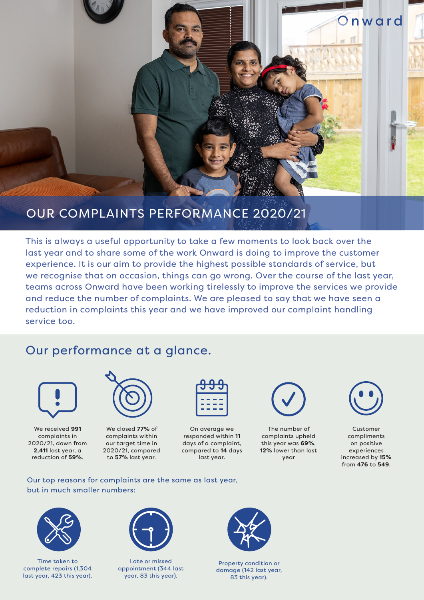

### OUR COMPLAINTS PERFORMANCE 2020/21

This is always a useful opportunity to take a few moments to look back over the last year and to share some of the work Onward is doing to improve the customer experience. It is our aim to provide the highest possible standards of service, but we recognise that on occasion, things can go wrong. Over the course of the last year, teams across Onward have been working tirelessly to improve the services we provide and reduce the number of complaints. We are pleased to say that we have seen a reduction in complaints this year and we have improved our complaint handling service too.

## Our performance at a glance.



We received **991** complaints in 2020/21, down from **2,411** last year, a reduction of **59%**.



We closed **77%** of complaints within our target time in 2020/21, compared to **57%** last year.

| חחו<br><b>N</b> |  |
|-----------------|--|
| . .             |  |
|                 |  |
| n.              |  |
|                 |  |

On average we responded within **11** days of a complaint, compared to **14** days last year.



The number of complaints upheld this year was **69%**, **12%** lower than last year



Customer compliments on positive experiences increased by **15%** from **476** to **549**.

#### Our top reasons for complaints are the same as last year, but in much smaller numbers:



Time taken to complete repairs (1,304 last year, 423 this year).



Late or missed appointment (344 last year, 83 this year).



Property condition or damage (142 last year, 83 this year).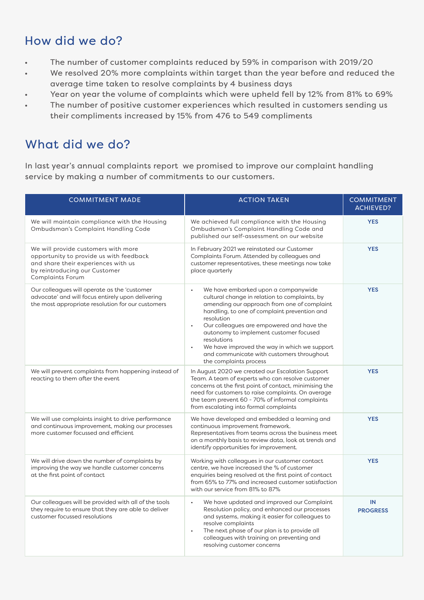# How did we do?

- The number of customer complaints reduced by 59% in comparison with 2019/20
- We resolved 20% more complaints within target than the year before and reduced the average time taken to resolve complaints by 4 business days
- Year on year the volume of complaints which were upheld fell by 12% from 81% to 69%
- The number of positive customer experiences which resulted in customers sending us their compliments increased by 15% from 476 to 549 compliments

## What did we do?

In last year's annual complaints report we promised to improve our complaint handling service by making a number of commitments to our customers.

| <b>COMMITMENT MADE</b>                                                                                                                                                            | <b>ACTION TAKEN</b>                                                                                                                                                                                                                                                                                                                                                                                                                         | <b>COMMITMENT</b><br><b>ACHIEVED?</b> |
|-----------------------------------------------------------------------------------------------------------------------------------------------------------------------------------|---------------------------------------------------------------------------------------------------------------------------------------------------------------------------------------------------------------------------------------------------------------------------------------------------------------------------------------------------------------------------------------------------------------------------------------------|---------------------------------------|
| We will maintain compliance with the Housing<br>Ombudsman's Complaint Handling Code                                                                                               | We achieved full compliance with the Housing<br>Ombudsman's Complaint Handling Code and<br>published our self-assessment on our website                                                                                                                                                                                                                                                                                                     | <b>YES</b>                            |
| We will provide customers with more<br>opportunity to provide us with feedback<br>and share their experiences with us<br>by reintroducing our Customer<br><b>Complaints Forum</b> | In February 2021 we reinstated our Customer<br>Complaints Forum. Attended by colleagues and<br>customer representatives, these meetings now take<br>place quarterly                                                                                                                                                                                                                                                                         | <b>YES</b>                            |
| Our colleagues will operate as the 'customer<br>advocate' and will focus entirely upon delivering<br>the most appropriate resolution for our customers                            | We have embarked upon a companywide<br>cultural change in relation to complaints, by<br>amending our approach from one of complaint<br>handling, to one of complaint prevention and<br>resolution<br>Our colleagues are empowered and have the<br>$\bullet$<br>autonomy to implement customer focused<br>resolutions<br>We have improved the way in which we support<br>and communicate with customers throughout<br>the complaints process | <b>YES</b>                            |
| We will prevent complaints from happening instead of<br>reacting to them after the event                                                                                          | In August 2020 we created our Escalation Support<br>Team. A team of experts who can resolve customer<br>concerns at the first point of contact, minimising the<br>need for customers to raise complaints. On average<br>the team prevent 60 - 70% of informal complaints<br>from escalating into formal complaints                                                                                                                          | <b>YES</b>                            |
| We will use complaints insight to drive performance<br>and continuous improvement, making our processes<br>more customer focussed and efficient                                   | We have developed and embedded a learning and<br>continuous improvement framework.<br>Representatives from teams across the business meet<br>on a monthly basis to review data, look at trends and<br>identify opportunities for improvement.                                                                                                                                                                                               | <b>YES</b>                            |
| We will drive down the number of complaints by<br>improving the way we handle customer concerns<br>at the first point of contact                                                  | Working with colleagues in our customer contact<br>centre, we have increased the % of customer<br>enquiries being resolved at the first point of contact<br>from 65% to 77% and increased customer satisfaction<br>with our service from 81% to 87%                                                                                                                                                                                         | <b>YES</b>                            |
| Our colleagues will be provided with all of the tools<br>they require to ensure that they are able to deliver<br>customer focussed resolutions                                    | We have updated and improved our Complaint<br>$\bullet$<br>Resolution policy, and enhanced our processes<br>and systems, making it easier for colleagues to<br>resolve complaints<br>The next phase of our plan is to provide all<br>colleagues with training on preventing and<br>resolving customer concerns                                                                                                                              | IN<br><b>PROGRESS</b>                 |